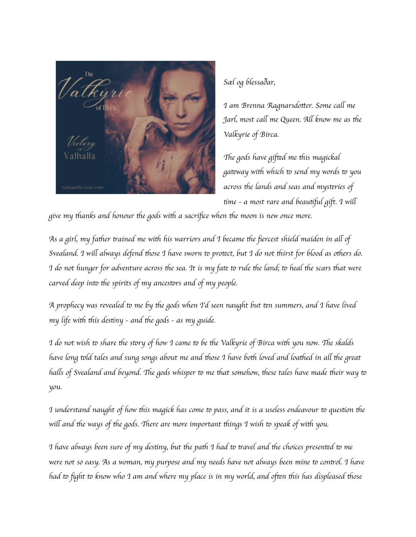

*S*æ*l og blessa*ð*ar,*

*I am Brenna Ragnarsdo*tt*er. Some ca*ll *me Jarl, most ca*ll *me Queen. A*ll *know me as* th*e Valkyrie of Birca.*

Th*e gods have gif*te*d me* th*is magickal ga*te*way wi*th *which* to *send my words* to *you across* th*e lands and seas and mys*te*ries of* ti*me - a most rare and beau*tifu*l gift. I wi*ll

*give my* th*anks and honour* th*e gods wi*th *a sacri*fi*ce when* th*e moon is new once more.*

As a girl, my father trained me with his warriors and I became the fiercest shield maiden in all of Svealand. I will always defend those I have sworn to protect, but I do not thirst for blood as others do. I do not hunger for adventure across the sea. It is my fate to rule the land; to heal the scars that were *carved deep in*to th*e spirits of my ances*to*rs and of my people.*

A prophecy was revealed to me by the gods when Td seen naught but ten summers, and I have lived *my life wi*th th*is des*ti*ny - and* th*e gods - as my guide.*

I do not wish to share the story of how I came to be the Valkyrie of Birca with you now. The skalds have long told tales and sung songs about me and those I have both loved and loathed in all the great halls of Svealand and beyond. The gods whisper to me that somehow, these tales have made their way to *you.*

I understand naught of how this magick has come to pass, and it is a useless endeavour to question the *wi*ll *and* th*e ways of* th*e gods.* Th*ere are more important* th*ings I wish* to *speak of wi*th *you.*

I have always been sure of my destiny, but the path I had to travel and the choices presented to me were not so easy. As a woman, my purpose and my needs have not always been mine to control. I have had to fight to know who I am and where my place is in my world, and often this has displeased those